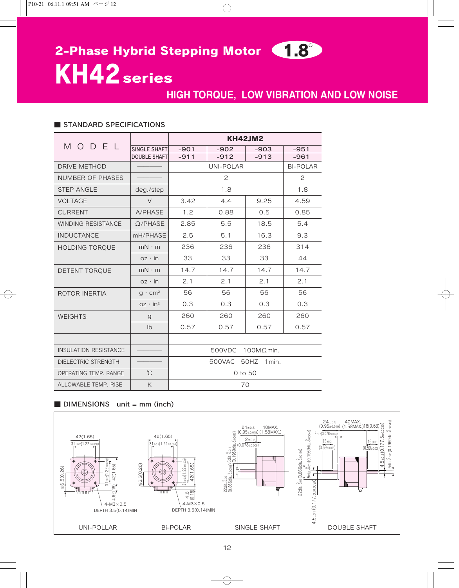# 2-Phase Hybrid Stepping Motor (1.8°

KH42 series

## **HIGH TORQUE, LOW VIBRATION AND LOW NOISE**

#### ■ STANDARD SPECIFICATIONS

| MODEL                        |                     | <b>KH42JM2</b>              |        |        |                 |
|------------------------------|---------------------|-----------------------------|--------|--------|-----------------|
|                              | SINGLE SHAFT        | $-901$                      | $-902$ | $-903$ | $-951$          |
|                              | <b>DOUBLE SHAFT</b> | $-911$                      | $-912$ | $-913$ | $-961$          |
| DRIVE METHOD                 |                     | UNI-POLAR                   |        |        | <b>BI-POLAR</b> |
| <b>NUMBER OF PHASES</b>      |                     | $\mathbf{2}^{\mathsf{2}}$   |        |        | 2               |
| <b>STEP ANGLE</b>            | deg./step           | 1.8                         |        |        | 1.8             |
| <b>VOLTAGE</b>               | $\vee$              | 3.42                        | 4.4    | 9.25   | 4.59            |
| <b>CURRENT</b>               | A/PHASE             | 1.2                         | 0.88   | 0.5    | 0.85            |
| <b>WINDING RESISTANCE</b>    | $Q$ /PHASE          | 2.85                        | 5.5    | 18.5   | 5.4             |
| <b>INDUCTANCE</b>            | mH/PHASE            | 2.5                         | 5.1    | 16.3   | 9.3             |
| <b>HOLDING TORQUE</b>        | $mN \cdot m$        | 236                         | 236    | 236    | 314             |
|                              | $oz \cdot in$       | 33                          | 33     | 33     | 44              |
| DETENT TORQUE                | $mN \cdot m$        | 14.7                        | 14.7   | 14.7   | 14.7            |
|                              | $oz \cdot in$       | 2.1                         | 2.1    | 2.1    | 2.1             |
| ROTOR INERTIA                | $q \cdot cm^2$      | 56                          | 56     | 56     | 56              |
|                              | $oz \cdot in^2$     | 0.3                         | 0.3    | 0.3    | 0.3             |
| <b>WEIGHTS</b>               | $\mathbf{q}$        | 260                         | 260    | 260    | 260             |
|                              | I <sub>b</sub>      | 0.57                        | 0.57   | 0.57   | 0.57            |
|                              |                     |                             |        |        |                 |
| <b>INSULATION RESISTANCE</b> |                     | 500VDC<br>$100M\Omega$ min. |        |        |                 |
| <b>DIELECTRIC STRENGTH</b>   |                     | 500VAC 50HZ<br>$1$ min.     |        |        |                 |
| OPERATING TEMP, RANGE        | $\hat{C}$           | 0 to 50                     |        |        |                 |
| ALLOWABLE TEMP. RISE         | K                   | 70                          |        |        |                 |

#### ■ DIMENSIONS unit = mm (inch)